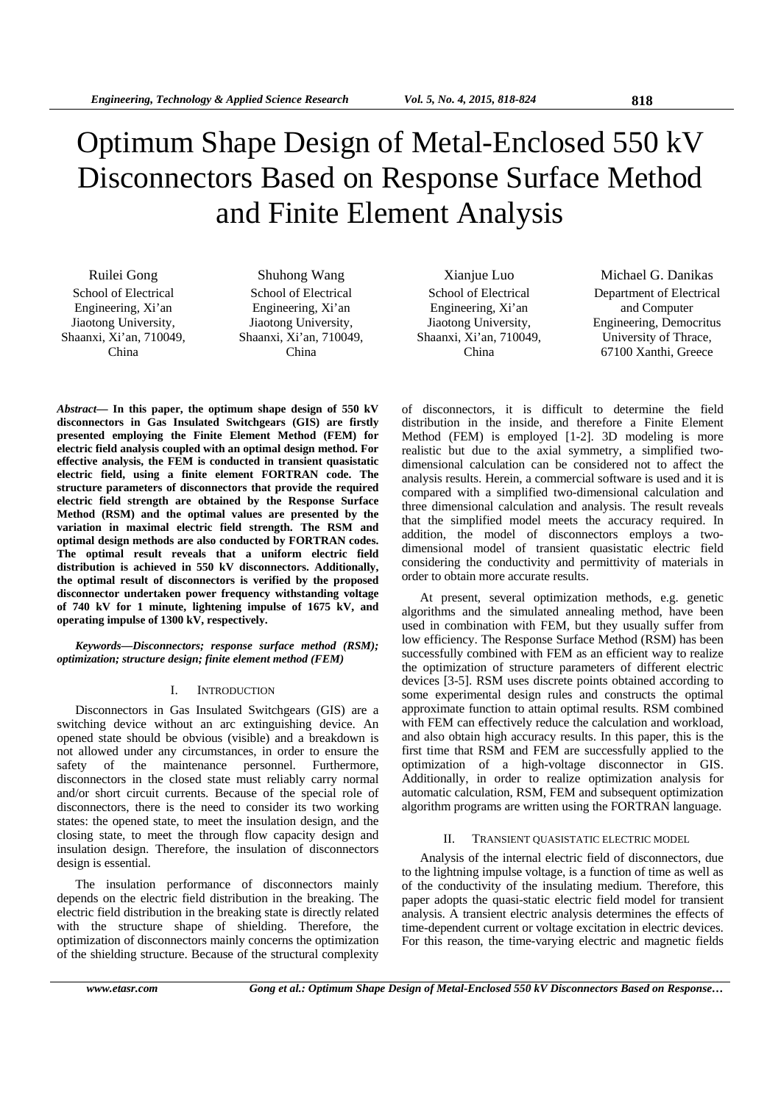# Optimum Shape Design of Metal-Enclosed 550 kV Disconnectors Based on Response Surface Method and Finite Element Analysis

Ruilei Gong School of Electrical Engineering, Xi'an Jiaotong University, Shaanxi, Xi'an, 710049, China

Shuhong Wang School of Electrical Engineering, Xi'an Jiaotong University, Shaanxi, Xi'an, 710049, China

Xianjue Luo School of Electrical Engineering, Xi'an Jiaotong University, Shaanxi, Xi'an, 710049, China

Michael G. Danikas Department of Electrical and Computer Engineering, Democritus University of Thrace, 67100 Xanthi, Greece

*Abstract***— In this paper, the optimum shape design of 550 kV disconnectors in Gas Insulated Switchgears (GIS) are firstly presented employing the Finite Element Method (FEM) for electric field analysis coupled with an optimal design method. For effective analysis, the FEM is conducted in transient quasistatic electric field, using a finite element FORTRAN code. The structure parameters of disconnectors that provide the required electric field strength are obtained by the Response Surface Method (RSM) and the optimal values are presented by the variation in maximal electric field strength. The RSM and optimal design methods are also conducted by FORTRAN codes. The optimal result reveals that a uniform electric field distribution is achieved in 550 kV disconnectors. Additionally, the optimal result of disconnectors is verified by the proposed disconnector undertaken power frequency withstanding voltage of 740 kV for 1 minute, lightening impulse of 1675 kV, and operating impulse of 1300 kV, respectively.** 

*Keywords—Disconnectors; response surface method (RSM); optimization; structure design; finite element method (FEM)* 

## I. INTRODUCTION

Disconnectors in Gas Insulated Switchgears (GIS) are a switching device without an arc extinguishing device. An opened state should be obvious (visible) and a breakdown is not allowed under any circumstances, in order to ensure the safety of the maintenance personnel. Furthermore, disconnectors in the closed state must reliably carry normal and/or short circuit currents. Because of the special role of disconnectors, there is the need to consider its two working states: the opened state, to meet the insulation design, and the closing state, to meet the through flow capacity design and insulation design. Therefore, the insulation of disconnectors design is essential.

The insulation performance of disconnectors mainly depends on the electric field distribution in the breaking. The electric field distribution in the breaking state is directly related with the structure shape of shielding. Therefore, the optimization of disconnectors mainly concerns the optimization of the shielding structure. Because of the structural complexity of disconnectors, it is difficult to determine the field distribution in the inside, and therefore a Finite Element Method (FEM) is employed [1-2]. 3D modeling is more realistic but due to the axial symmetry, a simplified twodimensional calculation can be considered not to affect the analysis results. Herein, a commercial software is used and it is compared with a simplified two-dimensional calculation and three dimensional calculation and analysis. The result reveals that the simplified model meets the accuracy required. In addition, the model of disconnectors employs a twodimensional model of transient quasistatic electric field considering the conductivity and permittivity of materials in order to obtain more accurate results.

At present, several optimization methods, e.g. genetic algorithms and the simulated annealing method, have been used in combination with FEM, but they usually suffer from low efficiency. The Response Surface Method (RSM) has been successfully combined with FEM as an efficient way to realize the optimization of structure parameters of different electric devices [3-5]. RSM uses discrete points obtained according to some experimental design rules and constructs the optimal approximate function to attain optimal results. RSM combined with FEM can effectively reduce the calculation and workload, and also obtain high accuracy results. In this paper, this is the first time that RSM and FEM are successfully applied to the optimization of a high-voltage disconnector in GIS. Additionally, in order to realize optimization analysis for automatic calculation, RSM, FEM and subsequent optimization algorithm programs are written using the FORTRAN language.

# II. TRANSIENT QUASISTATIC ELECTRIC MODEL

Analysis of the internal electric field of disconnectors, due to the lightning impulse voltage, is a function of time as well as of the conductivity of the insulating medium. Therefore, this paper adopts the quasi-static electric field model for transient analysis. A transient electric analysis determines the effects of time-dependent current or voltage excitation in electric devices. For this reason, the time-varying electric and magnetic fields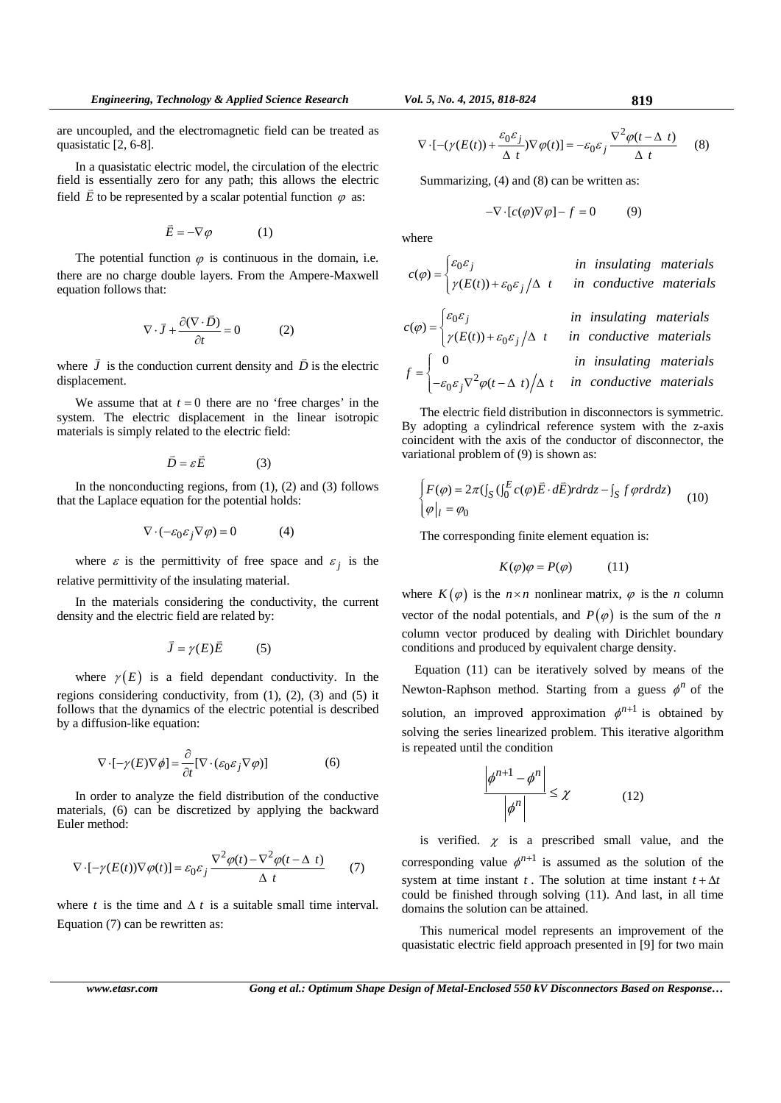are uncoupled, and the electromagnetic field can be treated as quasistatic [2, 6-8].

In a quasistatic electric model, the circulation of the electric field is essentially zero for any path; this allows the electric field  $E$  to be represented by a scalar potential function  $\varphi$  as:

$$
\vec{E} = -\nabla \varphi \tag{1}
$$

The potential function  $\varphi$  is continuous in the domain, i.e. there are no charge double layers. From the Ampere-Maxwell equation follows that:

$$
\nabla \cdot \vec{J} + \frac{\partial (\nabla \cdot \vec{D})}{\partial t} = 0
$$
 (2)

where  $\vec{J}$  is the conduction current density and  $\vec{D}$  is the electric displacement.

We assume that at  $t = 0$  there are no 'free charges' in the system. The electric displacement in the linear isotropic materials is simply related to the electric field:

$$
\vec{D} = \varepsilon \vec{E} \tag{3}
$$

In the nonconducting regions, from  $(1)$ ,  $(2)$  and  $(3)$  follows that the Laplace equation for the potential holds:

$$
\nabla \cdot (-\varepsilon_0 \varepsilon_j \nabla \varphi) = 0 \tag{4}
$$

where  $\varepsilon$  is the permittivity of free space and  $\varepsilon_j$  is the relative permittivity of the insulating material.

In the materials considering the conductivity, the current density and the electric field are related by:

$$
\vec{J} = \gamma(E)\vec{E} \qquad (5)
$$

where  $\gamma(E)$  is a field dependant conductivity. In the regions considering conductivity, from (1), (2), (3) and (5) it follows that the dynamics of the electric potential is described by a diffusion-like equation:

$$
\nabla \cdot [-\gamma(E)\nabla \phi] = \frac{\partial}{\partial t} [\nabla \cdot (\varepsilon_0 \varepsilon_j \nabla \phi)] \tag{6}
$$

In order to analyze the field distribution of the conductive materials, (6) can be discretized by applying the backward Euler method:

$$
\nabla \cdot [-\gamma(E(t))\nabla \varphi(t)] = \varepsilon_0 \varepsilon_j \frac{\nabla^2 \varphi(t) - \nabla^2 \varphi(t - \Delta t)}{\Delta t}
$$
 (7)

where  $t$  is the time and  $\Delta t$  is a suitable small time interval. Equation (7) can be rewritten as:

$$
\mathcal{L} = \mathcal{L} \times \mathcal{L}
$$

$$
\nabla \cdot [-(\gamma(E(t)) + \frac{\varepsilon_0 \varepsilon_j}{\Delta t}) \nabla \varphi(t)] = -\varepsilon_0 \varepsilon_j \frac{\nabla^2 \varphi(t - \Delta t)}{\Delta t}
$$
 (8)

Summarizing, (4) and (8) can be written as:

$$
-\nabla \cdot [c(\varphi)\nabla \varphi] - f = 0 \tag{9}
$$

where

$$
c(\varphi) = \begin{cases} \varepsilon_0 \varepsilon_j & \text{in insulating materials} \\ \gamma(E(t)) + \varepsilon_0 \varepsilon_j / \Delta t & \text{in conductive materials} \end{cases}
$$

$$
c(\varphi) = \begin{cases} \varepsilon_0 \varepsilon_j & \text{in insulating materials} \\ \gamma(E(t)) + \varepsilon_0 \varepsilon_j / \Delta \ t & \text{in conductive materials} \\ 0 & \text{in insulating materials} \end{cases}
$$
\n
$$
f = \begin{cases} 0 & \text{in insulating materials} \\ -\varepsilon_0 \varepsilon_j \nabla^2 \varphi(t - \Delta \ t) / \Delta \ t & \text{in conductive materials} \end{cases}
$$

The electric field distribution in disconnectors is symmetric. By adopting a cylindrical reference system with the z-axis coincident with the axis of the conductor of disconnector, the variational problem of (9) is shown as:

$$
\begin{cases}\nF(\varphi) = 2\pi \left( \int_S \left( \int_C^E c(\varphi) \vec{E} \cdot d\vec{E} \right) r dr dz - \int_S f \varphi r dr dz \right) \\
\varphi|_l = \varphi_0\n\end{cases} (10)
$$

The corresponding finite element equation is:

$$
K(\varphi)\varphi = P(\varphi) \tag{11}
$$

where  $K(\varphi)$  is the  $n \times n$  nonlinear matrix,  $\varphi$  is the *n* column vector of the nodal potentials, and  $P(\varphi)$  is the sum of the *n* column vector produced by dealing with Dirichlet boundary conditions and produced by equivalent charge density.

Equation (11) can be iteratively solved by means of the Newton-Raphson method. Starting from a guess  $\phi^n$  of the solution, an improved approximation  $\phi^{n+1}$  is obtained by solving the series linearized problem. This iterative algorithm is repeated until the condition

$$
\frac{\left|\phi^{n+1} - \phi^n\right|}{\left|\phi^n\right|} \le \chi\tag{12}
$$

is verified.  $\chi$  is a prescribed small value, and the corresponding value  $\phi^{n+1}$  is assumed as the solution of the system at time instant *t*. The solution at time instant  $t + \Delta t$ could be finished through solving (11). And last, in all time domains the solution can be attained.

This numerical model represents an improvement of the quasistatic electric field approach presented in [9] for two main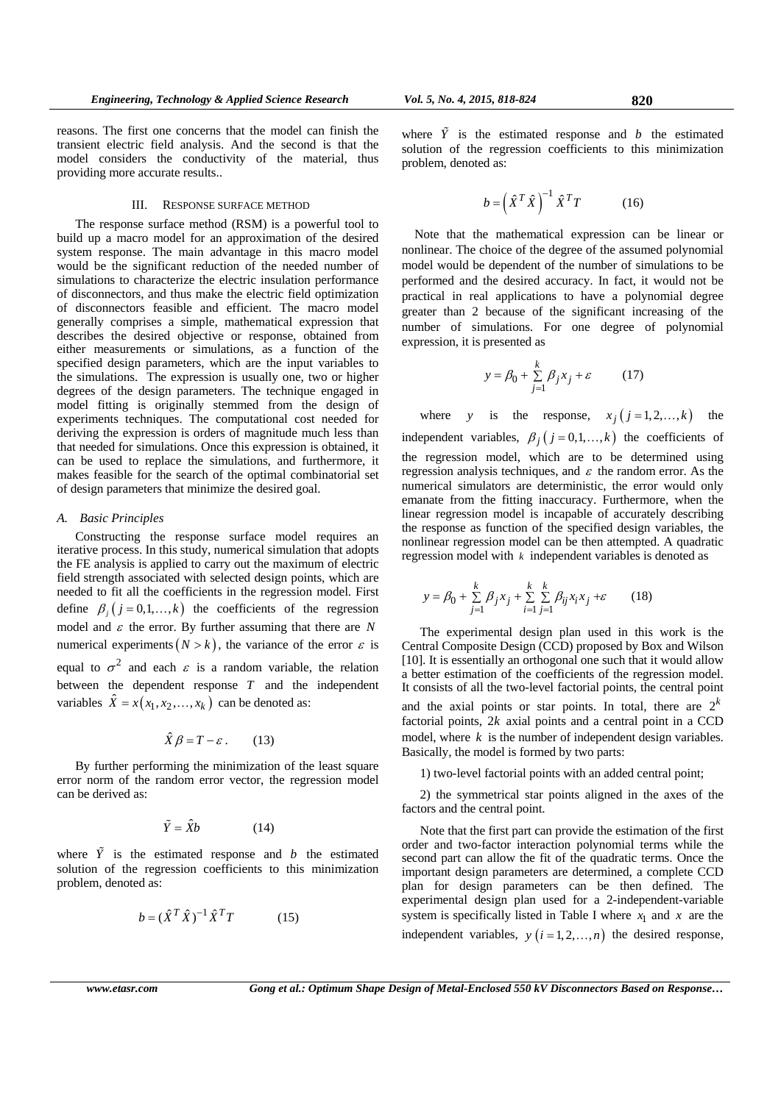reasons. The first one concerns that the model can finish the transient electric field analysis. And the second is that the model considers the conductivity of the material, thus providing more accurate results..

#### III. RESPONSE SURFACE METHOD

The response surface method (RSM) is a powerful tool to build up a macro model for an approximation of the desired system response. The main advantage in this macro model would be the significant reduction of the needed number of simulations to characterize the electric insulation performance of disconnectors, and thus make the electric field optimization of disconnectors feasible and efficient. The macro model generally comprises a simple, mathematical expression that describes the desired objective or response, obtained from either measurements or simulations, as a function of the specified design parameters, which are the input variables to the simulations. The expression is usually one, two or higher degrees of the design parameters. The technique engaged in model fitting is originally stemmed from the design of experiments techniques. The computational cost needed for deriving the expression is orders of magnitude much less than that needed for simulations. Once this expression is obtained, it can be used to replace the simulations, and furthermore, it makes feasible for the search of the optimal combinatorial set of design parameters that minimize the desired goal.

#### *A. Basic Principles*

Constructing the response surface model requires an iterative process. In this study, numerical simulation that adopts the FE analysis is applied to carry out the maximum of electric field strength associated with selected design points, which are needed to fit all the coefficients in the regression model. First define  $\beta_i$   $(j = 0,1,...,k)$  the coefficients of the regression model and  $\varepsilon$  the error. By further assuming that there are  $N$ numerical experiments  $(N > k)$ , the variance of the error  $\varepsilon$  is equal to  $\sigma^2$  and each  $\varepsilon$  is a random variable, the relation between the dependent response *T* and the independent variables  $\hat{X} = x(x_1, x_2, ..., x_k)$  can be denoted as:

$$
\hat{X}\beta = T - \varepsilon \,. \qquad (13)
$$

By further performing the minimization of the least square error norm of the random error vector, the regression model can be derived as:

$$
\tilde{Y} = \hat{X}b \tag{14}
$$

where  $\tilde{Y}$  is the estimated response and *b* the estimated solution of the regression coefficients to this minimization problem, denoted as:

$$
b = (\hat{X}^T \hat{X})^{-1} \hat{X}^T T \tag{15}
$$

where  $\tilde{Y}$  is the estimated response and *b* the estimated solution of the regression coefficients to this minimization problem, denoted as:

$$
b = \left(\hat{X}^T \hat{X}\right)^{-1} \hat{X}^T T \tag{16}
$$

Note that the mathematical expression can be linear or nonlinear. The choice of the degree of the assumed polynomial model would be dependent of the number of simulations to be performed and the desired accuracy. In fact, it would not be practical in real applications to have a polynomial degree greater than 2 because of the significant increasing of the number of simulations. For one degree of polynomial expression, it is presented as

$$
y = \beta_0 + \sum_{j=1}^{k} \beta_j x_j + \varepsilon \tag{17}
$$

where *y* is the response,  $x_i$  ( $j = 1, 2, ..., k$ ) the independent variables,  $\beta_i$  ( $j = 0, 1, ..., k$ ) the coefficients of the regression model, which are to be determined using regression analysis techniques, and  $\varepsilon$  the random error. As the numerical simulators are deterministic, the error would only emanate from the fitting inaccuracy. Furthermore, when the linear regression model is incapable of accurately describing the response as function of the specified design variables, the nonlinear regression model can be then attempted. A quadratic regression model with *k* independent variables is denoted as

$$
y = \beta_0 + \sum_{j=1}^{k} \beta_j x_j + \sum_{i=1}^{k} \sum_{j=1}^{k} \beta_{ij} x_i x_j + \varepsilon
$$
 (18)

The experimental design plan used in this work is the Central Composite Design (CCD) proposed by Box and Wilson [10]. It is essentially an orthogonal one such that it would allow a better estimation of the coefficients of the regression model. It consists of all the two-level factorial points, the central point and the axial points or star points. In total, there are  $2^k$ factorial points, 2*k* axial points and a central point in a CCD model, where  $k$  is the number of independent design variables. Basically, the model is formed by two parts:

1) two-level factorial points with an added central point;

2) the symmetrical star points aligned in the axes of the factors and the central point.

Note that the first part can provide the estimation of the first order and two-factor interaction polynomial terms while the second part can allow the fit of the quadratic terms. Once the important design parameters are determined, a complete CCD plan for design parameters can be then defined. The experimental design plan used for a 2-independent-variable system is specifically listed in Table I where  $x_1$  and  $x$  are the independent variables,  $y(i=1, 2, ..., n)$  the desired response,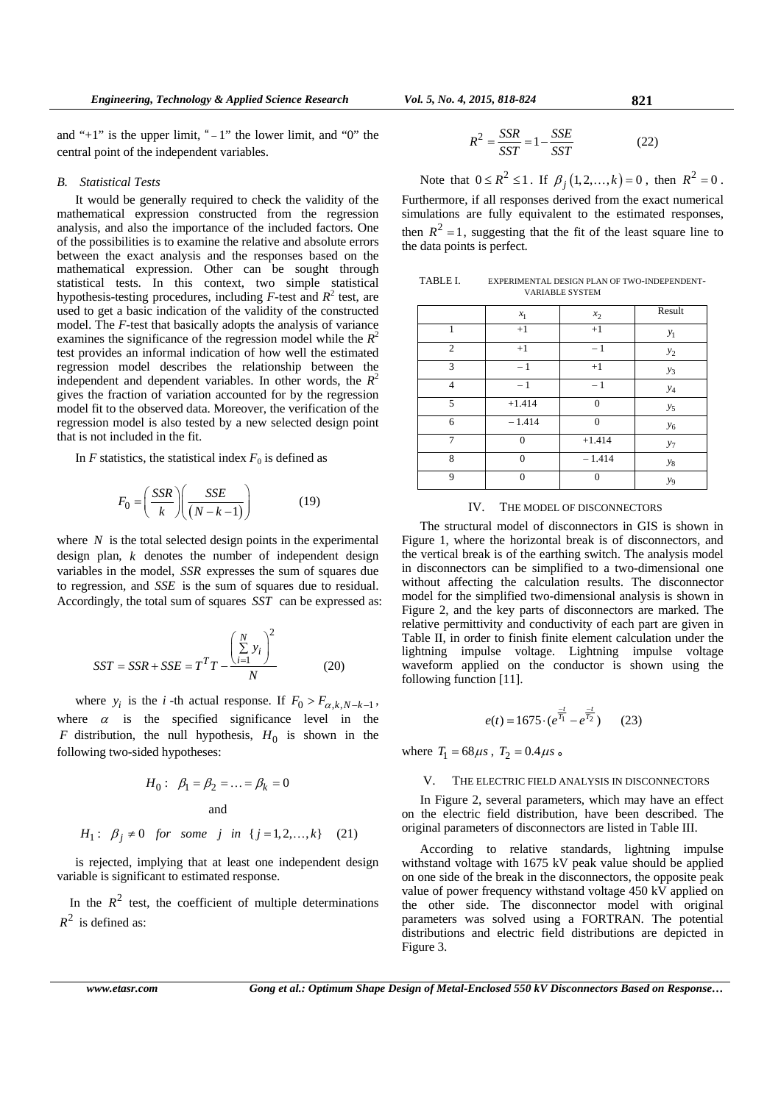and " $+1$ " is the upper limit, " $-1$ " the lower limit, and "0" the central point of the independent variables.

# *B. Statistical Tests*

It would be generally required to check the validity of the mathematical expression constructed from the regression analysis, and also the importance of the included factors. One of the possibilities is to examine the relative and absolute errors between the exact analysis and the responses based on the mathematical expression. Other can be sought through statistical tests. In this context, two simple statistical hypothesis-testing procedures, including  $F$ -test and  $R^2$  test, are used to get a basic indication of the validity of the constructed model. The *F*-test that basically adopts the analysis of variance examines the significance of the regression model while the  $R^2$ test provides an informal indication of how well the estimated regression model describes the relationship between the independent and dependent variables. In other words, the  $R^2$ gives the fraction of variation accounted for by the regression model fit to the observed data. Moreover, the verification of the regression model is also tested by a new selected design point that is not included in the fit.

In *F* statistics, the statistical index  $F_0$  is defined as

$$
F_0 = \left(\frac{SSR}{k}\right) \left(\frac{SSE}{(N-k-1)}\right) \tag{19}
$$

where *N* is the total selected design points in the experimental design plan, *k* denotes the number of independent design variables in the model, *SSR* expresses the sum of squares due to regression, and *SSE* is the sum of squares due to residual. Accordingly, the total sum of squares *SST* can be expressed as:

$$
SST = SSR + SSE = T^{T}T - \frac{\left(\sum_{i=1}^{N} y_{i}\right)^{2}}{N}
$$
 (20)

where  $y_i$  is the *i*-th actual response. If  $F_0 > F_{\alpha,k,N-k-1}$ , where  $\alpha$  is the specified significance level in the *F* distribution, the null hypothesis,  $H_0$  is shown in the following two-sided hypotheses:

$$
H_0: \ \beta_1 = \beta_2 = \dots = \beta_k = 0
$$
  
and

$$
H_1
$$
:  $\beta_j \neq 0$  for some j in  $\{j = 1, 2, ..., k\}$  (21)

is rejected, implying that at least one independent design variable is significant to estimated response.

In the  $R^2$  test, the coefficient of multiple determinations  $R^2$  is defined as:

$$
R^2 = \frac{SSR}{SST} = 1 - \frac{SSE}{SST}
$$
 (22)

Note that  $0 \le R^2 \le 1$ . If  $\beta_i(1,2,...,k) = 0$ , then  $R^2 = 0$ . Furthermore, if all responses derived from the exact numerical simulations are fully equivalent to the estimated responses, then  $R^2 = 1$ , suggesting that the fit of the least square line to the data points is perfect.

TABLE I. EXPERIMENTAL DESIGN PLAN OF TWO-INDEPENDENT-VARIABLE SYSTEM

|   | $x_1$    | $x_2$          | Result |
|---|----------|----------------|--------|
| 1 | $+1$     | $+1$           | $y_1$  |
| 2 | $+1$     | $-1$           | $y_2$  |
| 3 | $-1$     | $+1$           | $y_3$  |
| 4 | $-1$     | $-1$           | $y_4$  |
| 5 | $+1.414$ | $\overline{0}$ | $y_5$  |
| 6 | $-1.414$ | $\overline{0}$ | $y_6$  |
| 7 | $\Omega$ | $+1.414$       | $y_7$  |
| 8 | $\Omega$ | $-1.414$       | $y_8$  |
| 9 | $\Omega$ | $\theta$       | $y_9$  |

#### IV. THE MODEL OF DISCONNECTORS

The structural model of disconnectors in GIS is shown in Figure 1, where the horizontal break is of disconnectors, and the vertical break is of the earthing switch. The analysis model in disconnectors can be simplified to a two-dimensional one without affecting the calculation results. The disconnector model for the simplified two-dimensional analysis is shown in Figure 2, and the key parts of disconnectors are marked. The relative permittivity and conductivity of each part are given in Table II, in order to finish finite element calculation under the lightning impulse voltage. Lightning impulse voltage waveform applied on the conductor is shown using the following function [11].

$$
e(t) = 1675 \cdot (e^{\frac{-t}{T_1}} - e^{\frac{-t}{T_2}})
$$
 (23)

where  $T_1 = 68 \mu s$ ,  $T_2 = 0.4 \mu s$ .

# V. THE ELECTRIC FIELD ANALYSIS IN DISCONNECTORS

In Figure 2, several parameters, which may have an effect on the electric field distribution, have been described. The original parameters of disconnectors are listed in Table III.

According to relative standards, lightning impulse withstand voltage with 1675 kV peak value should be applied on one side of the break in the disconnectors, the opposite peak value of power frequency withstand voltage 450 kV applied on the other side. The disconnector model with original parameters was solved using a FORTRAN. The potential distributions and electric field distributions are depicted in Figure 3.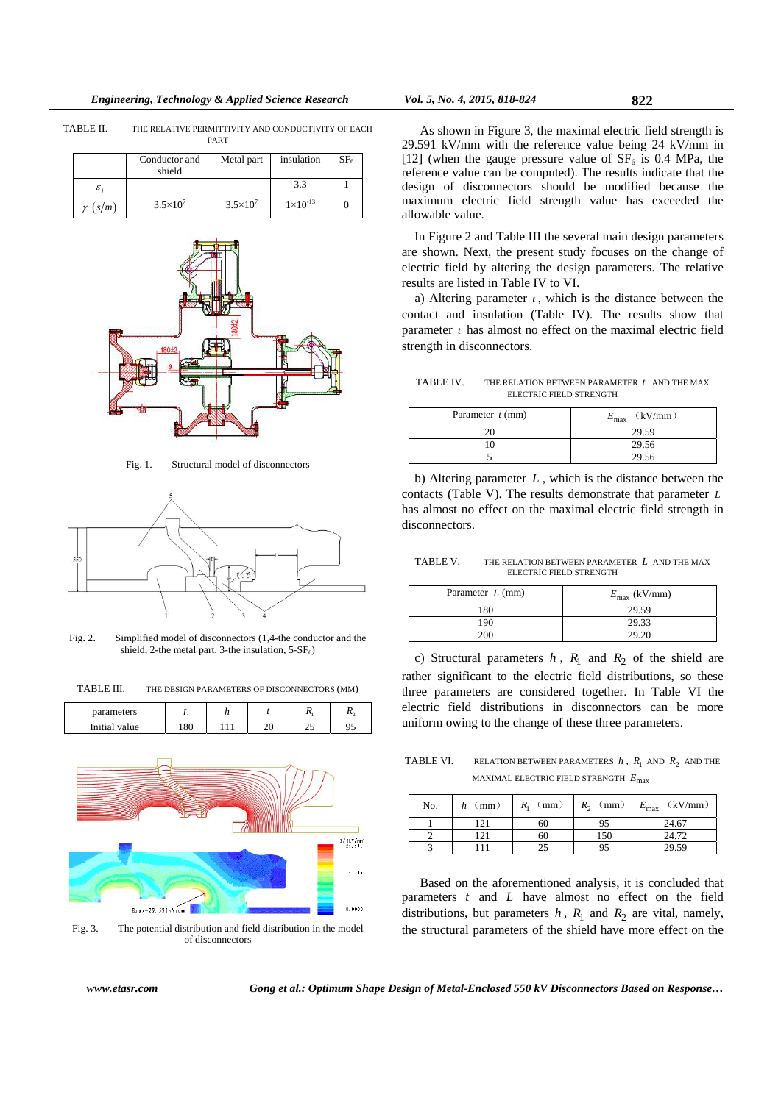| TABLE II. | THE RELATIVE PERMITTIVITY AND CONDUCTIVITY OF EACH |
|-----------|----------------------------------------------------|
|           | <b>PART</b>                                        |

|       | Conductor and<br>shield | Metal part          | insulation          | SF <sub>6</sub> |
|-------|-------------------------|---------------------|---------------------|-----------------|
| ε     |                         |                     | 3.3                 |                 |
| (s/m) | $3.5 \times 10^{7}$     | $3.5 \times 10^{7}$ | $1 \times 10^{-13}$ |                 |



Fig. 1. Structural model of disconnectors



Fig. 2. Simplified model of disconnectors (1,4-the conductor and the shield, 2-the metal part, 3-the insulation,  $5-SF_6$ )

TABLE III. THE DESIGN PARAMETERS OF DISCONNECTORS (MM)

parameters  $L \t h \t t \t R$ Initial value 180 111 20 25 95



Fig. 3. The potential distribution and field distribution in the model of disconnectors

As shown in Figure 3, the maximal electric field strength is 29.591 kV/mm with the reference value being 24 kV/mm in [12] (when the gauge pressure value of  $SF<sub>6</sub>$  is 0.4 MPa, the reference value can be computed). The results indicate that the design of disconnectors should be modified because the maximum electric field strength value has exceeded the allowable value.

In Figure 2 and Table III the several main design parameters are shown. Next, the present study focuses on the change of electric field by altering the design parameters. The relative results are listed in Table IV to VI.

a) Altering parameter  $t$ , which is the distance between the contact and insulation (Table IV). The results show that parameter *t* has almost no effect on the maximal electric field strength in disconnectors.

TABLE IV. THE RELATION BETWEEN PARAMETER *t* AND THE MAX ELECTRIC FIELD STRENGTH

| Parameter $t$ (mm) | (kV/mm)<br>$E_{\text{max}}$ |
|--------------------|-----------------------------|
|                    | 29.59                       |
|                    | 29.56                       |
|                    | 29.56                       |

b) Altering parameter *L* , which is the distance between the contacts (Table V). The results demonstrate that parameter *L* has almost no effect on the maximal electric field strength in disconnectors.

TABLE V. THE RELATION BETWEEN PARAMETER *L* AND THE MAX ELECTRIC FIELD STRENGTH

| Parameter $L$ (mm) | $E_{\text{max}}$ (kV/mm) |
|--------------------|--------------------------|
| 180                | 29.59                    |
| 190                | 29.33                    |
|                    | 20 P.C                   |

c) Structural parameters  $h$ ,  $R_1$  and  $R_2$  of the shield are rather significant to the electric field distributions, so these three parameters are considered together. In Table VI the electric field distributions in disconnectors can be more uniform owing to the change of these three parameters.

TABLE VI. RELATION BETWEEN PARAMETERS  $h$ ,  $R_1$  and  $R_2$  and the MAXIMAL ELECTRIC FIELD STRENGTH *E*max

| No. | $h \pmod{m}$ | $R_1$ (mm) | $R_2$ (mm) $E_{\text{max}}$ | (kV/mm) |
|-----|--------------|------------|-----------------------------|---------|
|     | 121          | 60         |                             | 24.67   |
|     | 121          | 60         | 150                         | 24.72   |
|     |              |            |                             | 29.59   |

Based on the aforementioned analysis, it is concluded that parameters *t* and *L* have almost no effect on the field distributions, but parameters  $h$ ,  $R_1$  and  $R_2$  are vital, namely, the structural parameters of the shield have more effect on the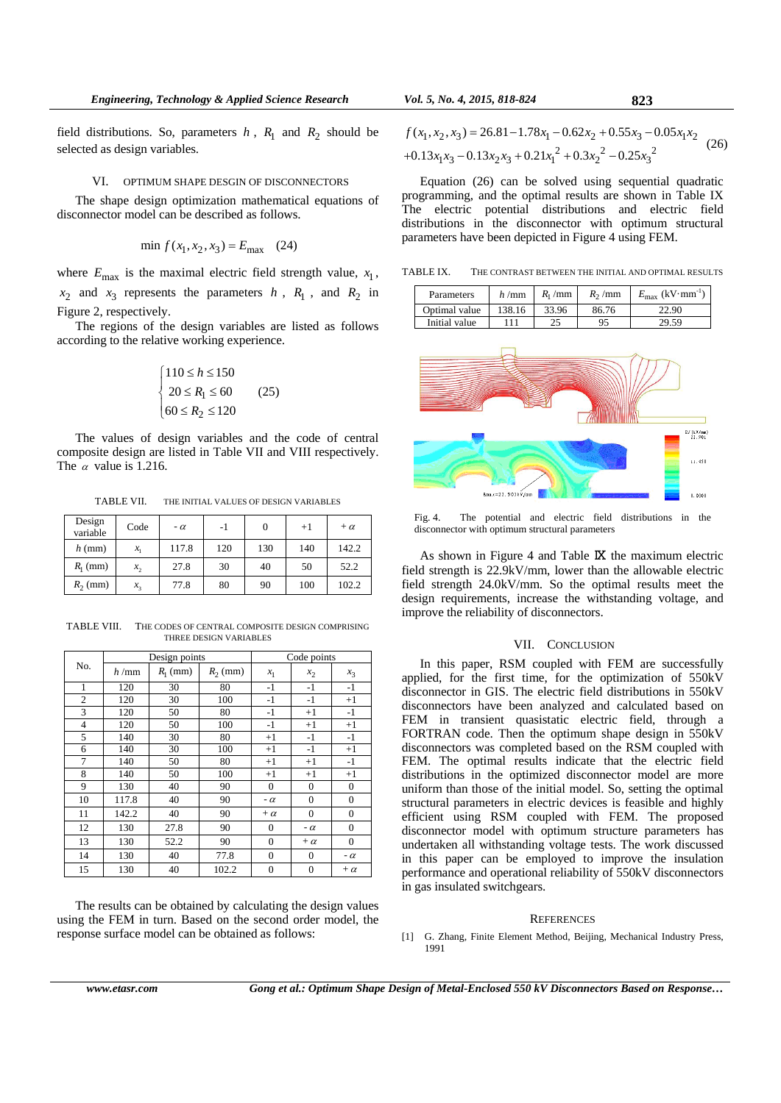field distributions. So, parameters  $h$ ,  $R_1$  and  $R_2$  should be selected as design variables.

#### VI. OPTIMUM SHAPE DESGIN OF DISCONNECTORS

The shape design optimization mathematical equations of disconnector model can be described as follows.

$$
\min f(x_1, x_2, x_3) = E_{\text{max}} \quad (24)
$$

where  $E_{\text{max}}$  is the maximal electric field strength value,  $x_1$ ,  $x_2$  and  $x_3$  represents the parameters  $h$ ,  $R_1$ , and  $R_2$  in Figure 2, respectively.

The regions of the design variables are listed as follows according to the relative working experience.

$$
\begin{cases}\n110 \le h \le 150 \\
20 \le R_1 \le 60 \\
60 \le R_2 \le 120\n\end{cases}
$$
\n(25)

The values of design variables and the code of central composite design are listed in Table VII and VIII respectively. The  $\alpha$  value is 1.216.

TABLE VII. THE INITIAL VALUES OF DESIGN VARIABLES

| Design<br>variable | Code    | $-\alpha$ | -1  | $\mathbf{0}$ | $+1$ | $+\alpha$ |
|--------------------|---------|-----------|-----|--------------|------|-----------|
| $h$ (mm)           | $x_{1}$ | 117.8     | 120 | 130          | 140  | 142.2     |
| $R_1$ (mm)         | х,      | 27.8      | 30  | 40           | 50   | 52.2      |
| $R_2$ (mm)         | $x_{3}$ | 77.8      | 80  | 90           | 100  | 102.2     |

TABLE VIII. THE CODES OF CENTRAL COMPOSITE DESIGN COMPRISING THREE DESIGN VARIABLES

|                | Design points |            |            | Code points      |                |              |
|----------------|---------------|------------|------------|------------------|----------------|--------------|
| No.            | h/mm          | $R_1$ (mm) | $R_2$ (mm) | $x_1$            | $x_2$          | $x_3$        |
| 1              | 120           | 30         | 80         | $-1$             | $-1$           | $-1$         |
| $\overline{2}$ | 120           | 30         | 100        | $-1$             | $-1$           | $+1$         |
| 3              | 120           | 50         | 80         | $-1$             | $+1$           | $-1$         |
| 4              | 120           | 50         | 100        | $-1$             | $+1$           | $+1$         |
| 5              | 140           | 30         | 80         | $+1$             | $-1$           | $-1$         |
| 6              | 140           | 30         | 100        | $+1$             | $-1$           | $+1$         |
| 7              | 140           | 50         | 80         | $+1$             | $^{+1}$        | -1           |
| 8              | 140           | 50         | 100        | $+1$             | $+1$           | $+1$         |
| 9              | 130           | 40         | 90         | $\mathbf{0}$     | $\mathbf{0}$   | $\mathbf{0}$ |
| 10             | 117.8         | 40         | 90         | $-\alpha$        | $\overline{0}$ | 0            |
| 11             | 142.2         | 40         | 90         | $+ \alpha$       | $\mathbf{0}$   | $\mathbf{0}$ |
| 12             | 130           | 27.8       | 90         | 0                | $-\alpha$      | 0            |
| 13             | 130           | 52.2       | 90         | $\mathbf{0}$     | $+ \alpha$     | $\mathbf{0}$ |
| 14             | 130           | 40         | 77.8       | $\overline{0}$   | 0              | $-\alpha$    |
| 15             | 130           | 40         | 102.2      | $\boldsymbol{0}$ | $\mathbf{0}$   | $+ \alpha$   |

The results can be obtained by calculating the design values using the FEM in turn. Based on the second order model, the response surface model can be obtained as follows:

$$
f(x_1, x_2, x_3) = 26.81 - 1.78x_1 - 0.62x_2 + 0.55x_3 - 0.05x_1x_2
$$
  
+0.13x<sub>1</sub>x<sub>3</sub> - 0.13x<sub>2</sub>x<sub>3</sub> + 0.21x<sub>1</sub><sup>2</sup> + 0.3x<sub>2</sub><sup>2</sup> - 0.25x<sub>3</sub><sup>2</sup> (26)

Equation (26) can be solved using sequential quadratic programming, and the optimal results are shown in Table IX The electric potential distributions and electric field distributions in the disconnector with optimum structural parameters have been depicted in Figure 4 using FEM.

TABLE IX. THE CONTRAST BETWEEN THE INITIAL AND OPTIMAL RESULTS

| Parameters    | h/mm   | $R_1/mm$ | $R_2/mm$ | $E_{\text{max}}$ (kV·mm <sup>-1</sup> ) |
|---------------|--------|----------|----------|-----------------------------------------|
| Optimal value | 138.16 | 33.96    | 86.76    | 22.90                                   |
| Initial value | 111    | 25       | 95.      | 29.59                                   |



Fig. 4. The potential and electric field distributions in the disconnector with optimum structural parameters

As shown in Figure 4 and Table **X** the maximum electric field strength is 22.9kV/mm, lower than the allowable electric field strength 24.0kV/mm. So the optimal results meet the design requirements, increase the withstanding voltage, and improve the reliability of disconnectors.

### VII. CONCLUSION

In this paper, RSM coupled with FEM are successfully applied, for the first time, for the optimization of 550kV disconnector in GIS. The electric field distributions in 550kV disconnectors have been analyzed and calculated based on FEM in transient quasistatic electric field, through a FORTRAN code. Then the optimum shape design in 550kV disconnectors was completed based on the RSM coupled with FEM. The optimal results indicate that the electric field distributions in the optimized disconnector model are more uniform than those of the initial model. So, setting the optimal structural parameters in electric devices is feasible and highly efficient using RSM coupled with FEM. The proposed disconnector model with optimum structure parameters has undertaken all withstanding voltage tests. The work discussed in this paper can be employed to improve the insulation performance and operational reliability of 550kV disconnectors in gas insulated switchgears.

#### **REFERENCES**

[1] G. Zhang, Finite Element Method, Beijing, Mechanical Industry Press, 1991